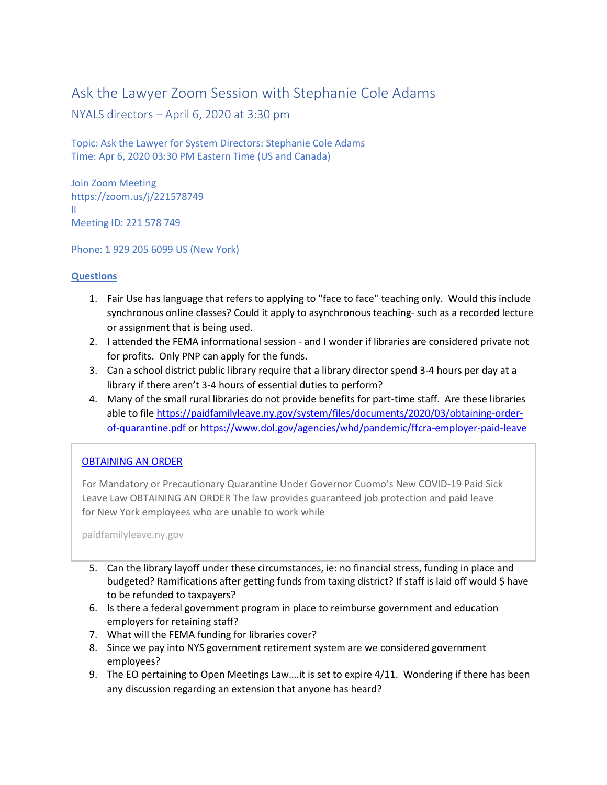## Ask the Lawyer Zoom Session with Stephanie Cole Adams

NYALS directors – April 6, 2020 at 3:30 pm

Topic: Ask the Lawyer for System Directors: Stephanie Cole Adams Time: Apr 6, 2020 03:30 PM Eastern Time (US and Canada)

Join Zoom Meeting https://zoom.us/j/221578749 ll Meeting ID: 221 578 749

Phone: 1 929 205 6099 US (New York)

## **Questions**

- 1. Fair Use has language that refers to applying to "face to face" teaching only. Would this include synchronous online classes? Could it apply to asynchronous teaching- such as a recorded lecture or assignment that is being used.
- 2. I attended the FEMA informational session and I wonder if libraries are considered private not for profits. Only PNP can apply for the funds.
- 3. Can a school district public library require that a library director spend 3-4 hours per day at a library if there aren't 3-4 hours of essential duties to perform?
- 4. Many of the small rural libraries do not provide benefits for part-time staff. Are these libraries able to file [https://paidfamilyleave.ny.gov/system/files/documents/2020/03/obtaining-order](https://paidfamilyleave.ny.gov/system/files/documents/2020/03/obtaining-order-of-quarantine.pdf)[of-quarantine.pdf](https://paidfamilyleave.ny.gov/system/files/documents/2020/03/obtaining-order-of-quarantine.pdf) or<https://www.dol.gov/agencies/whd/pandemic/ffcra-employer-paid-leave>

## [OBTAINING AN ORDER](https://paidfamilyleave.ny.gov/system/files/documents/2020/03/obtaining-order-of-quarantine.pdf)

For Mandatory or Precautionary Quarantine Under Governor Cuomo's New COVID-19 Paid Sick Leave Law OBTAINING AN ORDER The law provides guaranteed job protection and paid leave for New York employees who are unable to work while

paidfamilyleave.ny.gov

- 5. Can the library layoff under these circumstances, ie: no financial stress, funding in place and budgeted? Ramifications after getting funds from taxing district? If staff is laid off would \$ have to be refunded to taxpayers?
- 6. Is there a federal government program in place to reimburse government and education employers for retaining staff?
- 7. What will the FEMA funding for libraries cover?
- 8. Since we pay into NYS government retirement system are we considered government employees?
- 9. The EO pertaining to Open Meetings Law….it is set to expire 4/11. Wondering if there has been any discussion regarding an extension that anyone has heard?